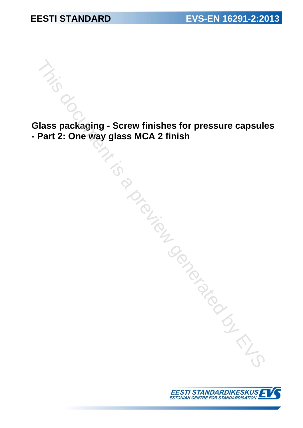**Glass packaging - Screw finishes for pressure capsules - Part 2: One way glass MCA 2 finish**  Ass packaging - Screw finishes for pressure capsulation of the way glass MCA 2 finish<br>
Association of the way of the WA 2 finish<br>
Association of the WA 2 finish<br>
Association of the WA 2 finish<br>
Association of the WA 2 fin

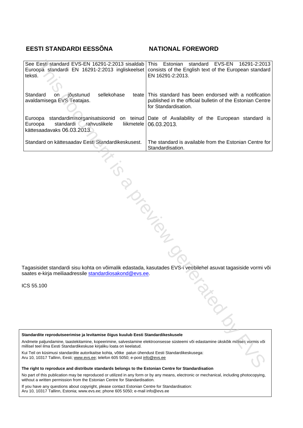## **EESTI STANDARDI EESSÕNA NATIONAL FOREWORD**

| See Eesti standard EVS-EN 16291-2:2013 sisaldab<br>Euroopa standardi EN 16291-2:2013 ingliskeelset<br>teksti.                                                                                                                                                                                                                                                                                                                                                                                                                                                                                    | standard<br>EVS-EN<br>Estonian<br>16291-2:2013<br>  This<br>consists of the English text of the European standard<br>EN 16291-2:2013.          |  |  |  |  |  |
|--------------------------------------------------------------------------------------------------------------------------------------------------------------------------------------------------------------------------------------------------------------------------------------------------------------------------------------------------------------------------------------------------------------------------------------------------------------------------------------------------------------------------------------------------------------------------------------------------|------------------------------------------------------------------------------------------------------------------------------------------------|--|--|--|--|--|
| sellekohase<br>Standard<br>⊣jõustunud<br>on<br>avaldamisega EVS Teatajas.                                                                                                                                                                                                                                                                                                                                                                                                                                                                                                                        | teate This standard has been endorsed with a notification<br>published in the official bulletin of the Estonian Centre<br>for Standardisation. |  |  |  |  |  |
| Euroopa<br>standardi rahvuslikele<br>liikmetele<br>Euroopa<br>kättesaadavaks 06.03.2013.                                                                                                                                                                                                                                                                                                                                                                                                                                                                                                         | standardimisorganisatsioonid on teinud Date of Availability of the European standard is<br>06.03.2013.                                         |  |  |  |  |  |
| Standard on kättesaadav Eesti Standardikeskusest.                                                                                                                                                                                                                                                                                                                                                                                                                                                                                                                                                | The standard is available from the Estonian Centre for<br>Standardisation.                                                                     |  |  |  |  |  |
| <b>PIDED</b><br>Fagasisidet standardi sisu kohta on võimalik edastada, kasutades EVS-i veebilehel asuvat tagasiside vormi või<br>saates e-kirja meiliaadressile standardiosakond@evs.ee.                                                                                                                                                                                                                                                                                                                                                                                                         |                                                                                                                                                |  |  |  |  |  |
| CS 55.100                                                                                                                                                                                                                                                                                                                                                                                                                                                                                                                                                                                        | <b>ARDIT</b>                                                                                                                                   |  |  |  |  |  |
| Standardite reprodutseerimise ja levitamise õigus kuulub Eesti Standardikeskusele<br>Andmete paljundamine, taastekitamine, kopeerimine, salvestamine elektroonsesse süsteemi või edastamine ükskõik millises vormis või<br>nillisel teel ilma Eesti Standardikeskuse kirjaliku loata on keelatud.<br>Cui Teil on küsimusi standardite autorikaitse kohta, võtke palun ühendust Eesti Standardikeskusega:<br>\ru 10, 10317 Tallinn, Eesti; www.evs.ee; telefon 605 5050; e-post info@evs.ee<br>The right to reproduce and distribute standards belopes to the Estonian Centre for Standardisation |                                                                                                                                                |  |  |  |  |  |

ICS 55.100

**The right to reproduce and distribute standards belongs to the Estonian Centre for Standardisation** 

No part of this publication may be reproduced or utilized in any form or by any means, electronic or mechanical, including photocopying, without a written permission from the Estonian Centre for Standardisation.

If you have any questions about copyright, please contact Estonian Centre for Standardisation: Aru 10, 10317 Tallinn, Estonia; www.evs.ee; phone 605 5050; e-mail info@evs.ee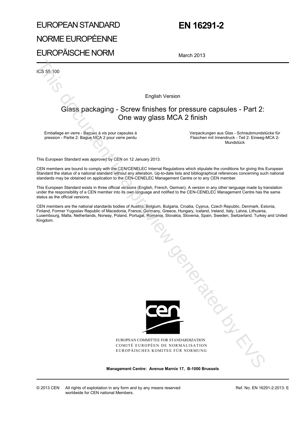# EUROPEAN STANDARD NORME EUROPÉENNE EUROPÄISCHE NORM

# **EN 16291-2**

March 2013

ICS 55.100

English Version

# Glass packaging - Screw finishes for pressure capsules - Part 2: One way glass MCA 2 finish

Emballage en verre - Bagues à vis pour capsules à pression - Partie 2: Bague MCA 2 pour verre perdu  Verpackungen aus Glas - Schraubmundstücke für Flaschen mit Innendruck - Teil 2: Einweg-MCA 2- Mundstück

This European Standard was approved by CEN on 12 January 2013.

CEN members are bound to comply with the CEN/CENELEC Internal Regulations which stipulate the conditions for giving this European Standard the status of a national standard without any alteration. Up-to-date lists and bibliographical references concerning such national standards may be obtained on application to the CEN-CENELEC Management Centre or to any CEN member.

This European Standard exists in three official versions (English, French, German). A version in any other language made by translation under the responsibility of a CEN member into its own language and notified to the CEN-CENELEC Management Centre has the same status as the official versions.

CEN members are the national standards bodies of Austria, Belgium, Bulgaria, Croatia, Cyprus, Czech Republic, Denmark, Estonia, Finland, Former Yugoslav Republic of Macedonia, France, Germany, Greece, Hungary, Iceland, Ireland, Italy, Latvia, Lithuania, Luxembourg, Malta, Netherlands, Norway, Poland, Portugal, Romania, Slovakia, Slovenia, Spain, Sweden, Switzerland, Turkey and United Kingdom.



EUROPEAN COMMITTEE FOR STANDARDIZATION COMITÉ EUROPÉEN DE NORMALISATION EUROPÄISCHES KOMITEE FÜR NORMUNG

**Management Centre: Avenue Marnix 17, B-1000 Brussels**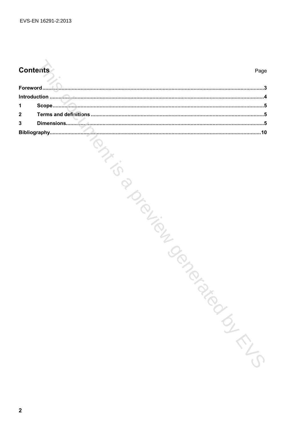# **Contents**

| 1                |  |  |        |
|------------------|--|--|--------|
| 2                |  |  |        |
| 3                |  |  |        |
|                  |  |  |        |
|                  |  |  | SI-TIS |
| $\boldsymbol{2}$ |  |  |        |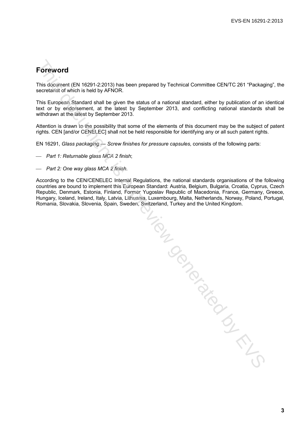# **Foreword**

This document (EN 16291-2:2013) has been prepared by Technical Committee CEN/TC 261 "Packaging", the secretariat of which is held by AFNOR.

This European Standard shall be given the status of a national standard, either by publication of an identical text or by endorsement, at the latest by September 2013, and conflicting national standards shall be withdrawn at the latest by September 2013.

Attention is drawn to the possibility that some of the elements of this document may be the subject of patent rights. CEN [and/or CENELEC] shall not be held responsible for identifying any or all such patent rights.

EN 16291, *Glass packaging — Screw finishes for pressure capsules*, consists of the following parts:

- *Part 1: Returnable glass MCA 2 finish*;
- *Part 2: One way glass MCA 2 finish*.

According to the CEN/CENELEC Internal Regulations, the national standards organisations of the following countries are bound to implement this European Standard: Austria, Belgium, Bulgaria, Croatia, Cyprus, Czech Republic, Denmark, Estonia, Finland, Former Yugoslav Republic of Macedonia, France, Germany, Greece, Hungary, Iceland, Ireland, Italy, Latvia, Lithuania, Luxembourg, Malta, Netherlands, Norway, Poland, Portugal, Romania, Slovakia, Slovenia, Spain, Sweden, Switzerland, Turkey and the United Kingdom.

THE MORE IS A PROPERTY OF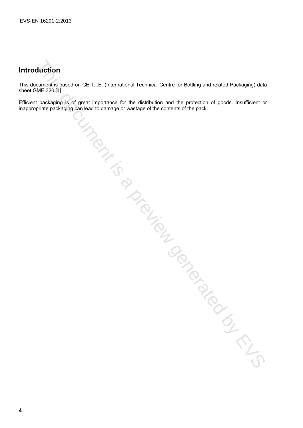# **Introduction**

This document is based on CE.T.I.E. (International Technical Centre for Bottling and related Packaging) data sheet GME 320 [1].

Efficient packaging is of great importance for the distribution and the protection of goods. Insufficient or inappropriate packaging can lead to damage or wastage of the contents of the pack. The Manufacture of the Conduction Conduction Conduction Conduction Conduction Conduction Conduction